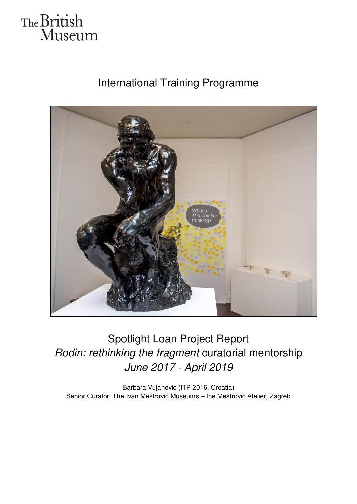# The British<br>Museum

### International Training Programme



## Spotlight Loan Project Report *Rodin: rethinking the fragment* curatorial mentorship *June 2017 - April 2019*

Barbara Vujanovic (ITP 2016, Croatia) Senior Curator, The Ivan Meštrović Museums – the Meštrović Atelier, Zagreb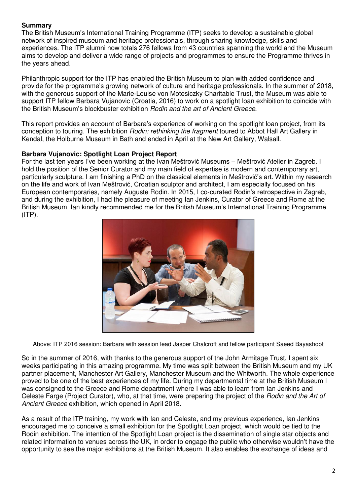#### **Summary**

The British Museum's International Training Programme (ITP) seeks to develop a sustainable global network of inspired museum and heritage professionals, through sharing knowledge, skills and experiences. The ITP alumni now totals 276 fellows from 43 countries spanning the world and the Museum aims to develop and deliver a wide range of projects and programmes to ensure the Programme thrives in the years ahead.

Philanthropic support for the ITP has enabled the British Museum to plan with added confidence and provide for the programme's growing network of culture and heritage professionals. In the summer of 2018, with the generous support of the Marie-Louise von Motesiczky Charitable Trust, the Museum was able to support ITP fellow Barbara Vujanovic (Croatia, 2016) to work on a spotlight loan exhibition to coincide with the British Museum's blockbuster exhibition *Rodin and the art of Ancient Greece*.

This report provides an account of Barbara's experience of working on the spotlight loan project, from its conception to touring. The exhibition *Rodin: rethinking the fragment* toured to Abbot Hall Art Gallery in Kendal, the Holburne Museum in Bath and ended in April at the New Art Gallery, Walsall.

#### **Barbara Vujanovic: Spotlight Loan Project Report**

For the last ten years I've been working at the Ivan Meštrović Museums – Meštrović Atelier in Zagreb. I hold the position of the Senior Curator and my main field of expertise is modern and contemporary art, particularly sculpture. I am finishing a PhD on the classical elements in Meštrović's art. Within my research on the life and work of Ivan Meštrović, Croatian sculptor and architect, I am especially focused on his European contemporaries, namely Auguste Rodin. In 2015, I co-curated Rodin's retrospective in Zagreb, and during the exhibition, I had the pleasure of meeting Ian Jenkins, Curator of Greece and Rome at the British Museum. Ian kindly recommended me for the British Museum's International Training Programme  $(ITP)$ .



Above: ITP 2016 session: Barbara with session lead Jasper Chalcroft and fellow participant Saeed Bayashoot

So in the summer of 2016, with thanks to the generous support of the John Armitage Trust, I spent six weeks participating in this amazing programme. My time was split between the British Museum and my UK partner placement, Manchester Art Gallery, Manchester Museum and the Whitworth. The whole experience proved to be one of the best experiences of my life. During my departmental time at the British Museum I was consigned to the Greece and Rome department where I was able to learn from Ian Jenkins and Celeste Farge (Project Curator), who, at that time, were preparing the project of the *Rodin and the Art of Ancient Greece* exhibition, which opened in April 2018.

As a result of the ITP training, my work with Ian and Celeste, and my previous experience, Ian Jenkins encouraged me to conceive a small exhibition for the Spotlight Loan project, which would be tied to the Rodin exhibition. The intention of the Spotlight Loan project is the dissemination of single star objects and related information to venues across the UK, in order to engage the public who otherwise wouldn't have the opportunity to see the major exhibitions at the British Museum. It also enables the exchange of ideas and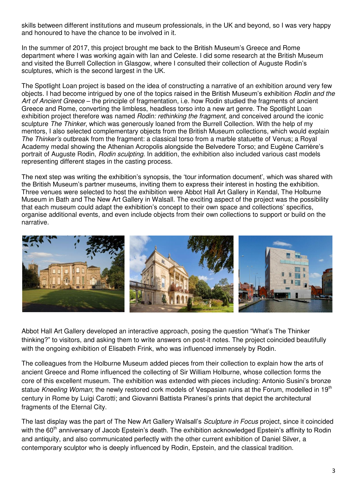skills between different institutions and museum professionals, in the UK and beyond, so I was very happy and honoured to have the chance to be involved in it.

In the summer of 2017, this project brought me back to the British Museum's Greece and Rome department where I was working again with Ian and Celeste. I did some research at the British Museum and visited the Burrell Collection in Glasgow, where I consulted their collection of Auguste Rodin's sculptures, which is the second largest in the UK.

The Spotlight Loan project is based on the idea of constructing a narrative of an exhibition around very few objects. I had become intrigued by one of the topics raised in the British Museum's exhibition *Rodin and the Art of Ancient Greece* – the principle of fragmentation, i.e. how Rodin studied the fragments of ancient Greece and Rome, converting the limbless, headless torso into a new art genre. The Spotlight Loan exhibition project therefore was named *Rodin: rethinking the fragment*, and conceived around the iconic sculpture *The Thinker*, which was generously loaned from the Burrell Collection. With the help of my mentors, I also selected complementary objects from the British Museum collections, which would explain *The Thinker's* outbreak from the fragment: a classical torso from a marble statuette of Venus; a Royal Academy medal showing the Athenian Acropolis alongside the Belvedere Torso; and Eugène Carrière's portrait of Auguste Rodin, *Rodin sculpting*. In addition, the exhibition also included various cast models representing different stages in the casting process.

The next step was writing the exhibition's synopsis, the 'tour information document', which was shared with the British Museum's partner museums, inviting them to express their interest in hosting the exhibition. Three venues were selected to host the exhibition were Abbot Hall Art Gallery in Kendal, The Holburne Museum in Bath and The New Art Gallery in Walsall. The exciting aspect of the project was the possibility that each museum could adapt the exhibition's concept to their own space and collections' specifics, organise additional events, and even include objects from their own collections to support or build on the narrative.



Abbot Hall Art Gallery developed an interactive approach, posing the question "What's The Thinker thinking?" to visitors, and asking them to write answers on post-it notes. The project coincided beautifully with the ongoing exhibition of Elisabeth Frink, who was influenced immensely by Rodin.

The colleagues from the Holburne Museum added pieces from their collection to explain how the arts of ancient Greece and Rome influenced the collecting of Sir William Holburne, whose collection forms the core of this excellent museum. The exhibition was extended with pieces including: Antonio Susini's bronze statue *Kneeling Woman*; the newly restored cork models of Vespasian ruins at the Forum, modelled in 19<sup>th</sup> century in Rome by Luigi Carotti; and Giovanni Battista Piranesi's prints that depict the architectural fragments of the Eternal City.

The last display was the part of The New Art Gallery Walsall's *Sculpture in Focus* project, since it coincided with the 60<sup>th</sup> anniversary of Jacob Epstein's death. The exhibition acknowledged Epstein's affinity to Rodin and antiquity, and also communicated perfectly with the other current exhibition of Daniel Silver, a contemporary sculptor who is deeply influenced by Rodin, Epstein, and the classical tradition.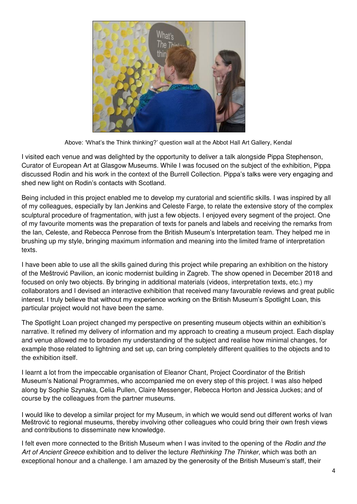

Above: 'What's the Think thinking?' question wall at the Abbot Hall Art Gallery, Kendal

I visited each venue and was delighted by the opportunity to deliver a talk alongside Pippa Stephenson, Curator of European Art at Glasgow Museums. While I was focused on the subject of the exhibition, Pippa discussed Rodin and his work in the context of the Burrell Collection. Pippa's talks were very engaging and shed new light on Rodin's contacts with Scotland.

Being included in this project enabled me to develop my curatorial and scientific skills. I was inspired by all of my colleagues, especially by Ian Jenkins and Celeste Farge, to relate the extensive story of the complex sculptural procedure of fragmentation, with just a few objects. I enjoyed every segment of the project. One of my favourite moments was the preparation of texts for panels and labels and receiving the remarks from the Ian, Celeste, and Rebecca Penrose from the British Museum's Interpretation team. They helped me in brushing up my style, bringing maximum information and meaning into the limited frame of interpretation texts.

I have been able to use all the skills gained during this project while preparing an exhibition on the history of the Meštrović Pavilion, an iconic modernist building in Zagreb. The show opened in December 2018 and focused on only two objects. By bringing in additional materials (videos, interpretation texts, etc.) my collaborators and I devised an interactive exhibition that received many favourable reviews and great public interest. I truly believe that without my experience working on the British Museum's Spotlight Loan, this particular project would not have been the same.

The Spotlight Loan project changed my perspective on presenting museum objects within an exhibition's narrative. It refined my delivery of information and my approach to creating a museum project. Each display and venue allowed me to broaden my understanding of the subject and realise how minimal changes, for example those related to lightning and set up, can bring completely different qualities to the objects and to the exhibition itself.

I learnt a lot from the impeccable organisation of Eleanor Chant, Project Coordinator of the British Museum's National Programmes, who accompanied me on every step of this project. I was also helped along by Sophie Szynaka, Celia Pullen, Claire Messenger, Rebecca Horton and Jessica Juckes; and of course by the colleagues from the partner museums.

I would like to develop a similar project for my Museum, in which we would send out different works of Ivan Meštrović to regional museums, thereby involving other colleagues who could bring their own fresh views and contributions to disseminate new knowledge.

I felt even more connected to the British Museum when I was invited to the opening of the *Rodin and the Art of Ancient Greece* exhibition and to deliver the lecture *Rethinking The Thinker*, which was both an exceptional honour and a challenge. I am amazed by the generosity of the British Museum's staff, their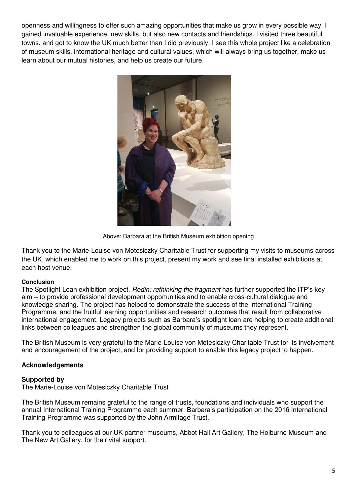openness and willingness to offer such amazing opportunities that make us grow in every possible way. I gained invaluable experience, new skills, but also new contacts and friendships. I visited three beautiful towns, and got to know the UK much better than I did previously. I see this whole project like a celebration of museum skills, international heritage and cultural values, which will always bring us together, make us learn about our mutual histories, and help us create our future.



Above: Barbara at the British Museum exhibition opening

Thank you to the Marie-Louise von Motesiczky Charitable Trust for supporting my visits to museums across the UK, which enabled me to work on this project, present my work and see final installed exhibitions at each host venue.

#### **Conclusion**

The Spotlight Loan exhibition project, *Rodin: rethinking the fragment* has further supported the ITP's key aim – to provide professional development opportunities and to enable cross-cultural dialogue and knowledge sharing. The project has helped to demonstrate the success of the International Training Programme, and the fruitful learning opportunities and research outcomes that result from collaborative international engagement. Legacy projects such as Barbara's spotlight loan are helping to create additional links between colleagues and strengthen the global community of museums they represent.

The British Museum is very grateful to the Marie-Louise von Motesiczky Charitable Trust for its involvement and encouragement of the project, and for providing support to enable this legacy project to happen.

#### **Acknowledgements**

#### **Supported by**

The Marie-Louise von Motesiczky Charitable Trust

The British Museum remains grateful to the range of trusts, foundations and individuals who support the annual International Training Programme each summer. Barbara's participation on the 2016 International Training Programme was supported by the John Armitage Trust.

Thank you to colleagues at our UK partner museums, Abbot Hall Art Gallery, The Holburne Museum and The New Art Gallery, for their vital support.